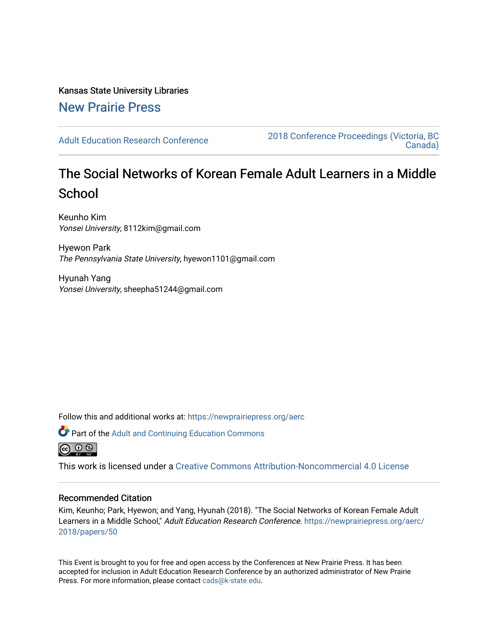Kansas State University Libraries [New Prairie Press](https://newprairiepress.org/) 

[Adult Education Research Conference](https://newprairiepress.org/aerc) [2018 Conference Proceedings \(Victoria, BC](https://newprairiepress.org/aerc/2018)  [Canada\)](https://newprairiepress.org/aerc/2018) 

# The Social Networks of Korean Female Adult Learners in a Middle **School**

Keunho Kim Yonsei University, 8112kim@gmail.com

Hyewon Park The Pennsylvania State University, hyewon1101@gmail.com

Hyunah Yang Yonsei University, sheepha51244@gmail.com

Follow this and additional works at: [https://newprairiepress.org/aerc](https://newprairiepress.org/aerc?utm_source=newprairiepress.org%2Faerc%2F2018%2Fpapers%2F50&utm_medium=PDF&utm_campaign=PDFCoverPages)



This work is licensed under a [Creative Commons Attribution-Noncommercial 4.0 License](https://creativecommons.org/licenses/by-nc/4.0/)

# Recommended Citation

Kim, Keunho; Park, Hyewon; and Yang, Hyunah (2018). "The Social Networks of Korean Female Adult Learners in a Middle School," Adult Education Research Conference. [https://newprairiepress.org/aerc/](https://newprairiepress.org/aerc/2018/papers/50) [2018/papers/50](https://newprairiepress.org/aerc/2018/papers/50)

This Event is brought to you for free and open access by the Conferences at New Prairie Press. It has been accepted for inclusion in Adult Education Research Conference by an authorized administrator of New Prairie Press. For more information, please contact [cads@k-state.edu.](mailto:cads@k-state.edu)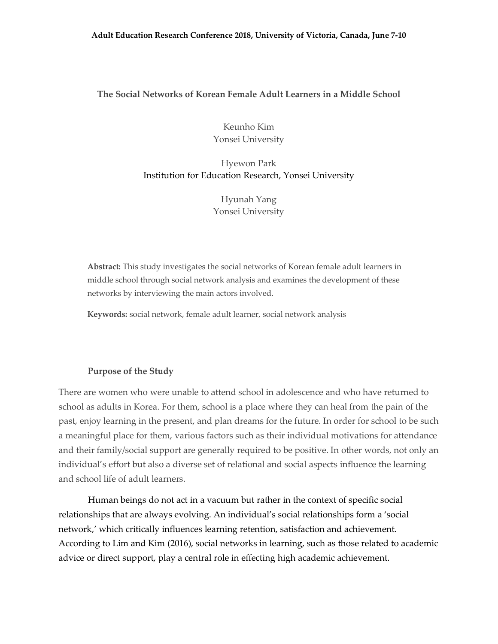# **The Social Networks of Korean Female Adult Learners in a Middle School**

Keunho Kim Yonsei University

Hyewon Park Institution for Education Research, Yonsei University

> Hyunah Yang Yonsei University

**Abstract:** This study investigates the social networks of Korean female adult learners in middle school through social network analysis and examines the development of these networks by interviewing the main actors involved.

**Keywords:** social network, female adult learner, social network analysis

# **Purpose of the Study**

There are women who were unable to attend school in adolescence and who have returned to school as adults in Korea. For them, school is a place where they can heal from the pain of the past, enjoy learning in the present, and plan dreams for the future. In order for school to be such a meaningful place for them, various factors such as their individual motivations for attendance and their family/social support are generally required to be positive. In other words, not only an individual's effort but also a diverse set of relational and social aspects influence the learning and school life of adult learners.

Human beings do not act in a vacuum but rather in the context of specific social relationships that are always evolving. An individual's social relationships form a 'social network,' which critically influences learning retention, satisfaction and achievement. According to Lim and Kim (2016), social networks in learning, such as those related to academic advice or direct support, play a central role in effecting high academic achievement.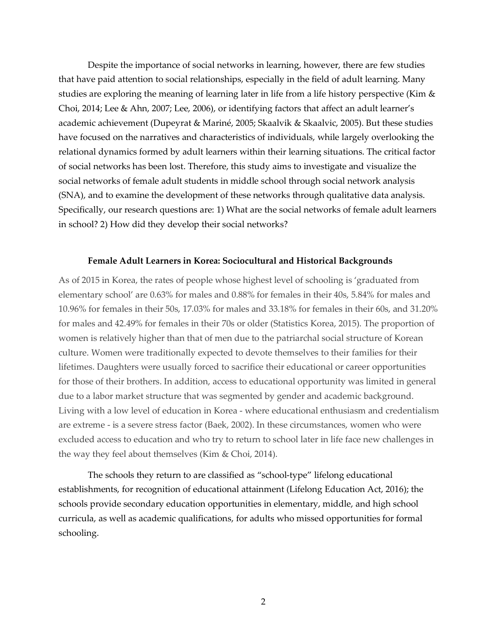Despite the importance of social networks in learning, however, there are few studies that have paid attention to social relationships, especially in the field of adult learning. Many studies are exploring the meaning of learning later in life from a life history perspective (Kim & Choi, 2014; Lee & Ahn, 2007; Lee, 2006), or identifying factors that affect an adult learner's academic achievement (Dupeyrat & Mariné, 2005; Skaalvik & Skaalvic, 2005). But these studies have focused on the narratives and characteristics of individuals, while largely overlooking the relational dynamics formed by adult learners within their learning situations. The critical factor of social networks has been lost. Therefore, this study aims to investigate and visualize the social networks of female adult students in middle school through social network analysis (SNA), and to examine the development of these networks through qualitative data analysis. Specifically, our research questions are: 1) What are the social networks of female adult learners in school? 2) How did they develop their social networks?

## **Female Adult Learners in Korea: Sociocultural and Historical Backgrounds**

As of 2015 in Korea, the rates of people whose highest level of schooling is 'graduated from elementary school' are 0.63% for males and 0.88% for females in their 40s, 5.84% for males and 10.96% for females in their 50s, 17.03% for males and 33.18% for females in their 60s, and 31.20% for males and 42.49% for females in their 70s or older (Statistics Korea, 2015). The proportion of women is relatively higher than that of men due to the patriarchal social structure of Korean culture. Women were traditionally expected to devote themselves to their families for their lifetimes. Daughters were usually forced to sacrifice their educational or career opportunities for those of their brothers. In addition, access to educational opportunity was limited in general due to a labor market structure that was segmented by gender and academic background. Living with a low level of education in Korea - where educational enthusiasm and credentialism are extreme - is a severe stress factor (Baek, 2002). In these circumstances, women who were excluded access to education and who try to return to school later in life face new challenges in the way they feel about themselves (Kim & Choi, 2014).

The schools they return to are classified as "school-type" lifelong educational establishments, for recognition of educational attainment (Lifelong Education Act, 2016); the schools provide secondary education opportunities in elementary, middle, and high school curricula, as well as academic qualifications, for adults who missed opportunities for formal schooling.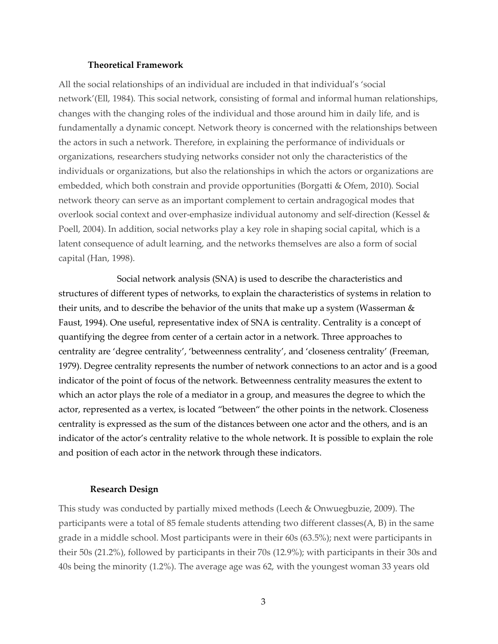## **Theoretical Framework**

All the social relationships of an individual are included in that individual's 'social network'(Ell, 1984). This social network, consisting of formal and informal human relationships, changes with the changing roles of the individual and those around him in daily life, and is fundamentally a dynamic concept. Network theory is concerned with the relationships between the actors in such a network. Therefore, in explaining the performance of individuals or organizations, researchers studying networks consider not only the characteristics of the individuals or organizations, but also the relationships in which the actors or organizations are embedded, which both constrain and provide opportunities (Borgatti & Ofem, 2010). Social network theory can serve as an important complement to certain andragogical modes that overlook social context and over-emphasize individual autonomy and self-direction (Kessel & Poell, 2004). In addition, social networks play a key role in shaping social capital, which is a latent consequence of adult learning, and the networks themselves are also a form of social capital (Han, 1998).

Social network analysis (SNA) is used to describe the characteristics and structures of different types of networks, to explain the characteristics of systems in relation to their units, and to describe the behavior of the units that make up a system (Wasserman & Faust, 1994). One useful, representative index of SNA is centrality. Centrality is a concept of quantifying the degree from center of a certain actor in a network. Three approaches to centrality are 'degree centrality', 'betweenness centrality', and 'closeness centrality' (Freeman, 1979). Degree centrality represents the number of network connections to an actor and is a good indicator of the point of focus of the network. Betweenness centrality measures the extent to which an actor plays the role of a mediator in a group, and measures the degree to which the actor, represented as a vertex, is located "between" the other points in the network. Closeness centrality is expressed as the sum of the distances between one actor and the others, and is an indicator of the actor's centrality relative to the whole network. It is possible to explain the role and position of each actor in the network through these indicators.

#### **Research Design**

This study was conducted by partially mixed methods (Leech & Onwuegbuzie, 2009). The participants were a total of 85 female students attending two different classes(A, B) in the same grade in a middle school. Most participants were in their 60s (63.5%); next were participants in their 50s (21.2%), followed by participants in their 70s (12.9%); with participants in their 30s and 40s being the minority (1.2%). The average age was 62, with the youngest woman 33 years old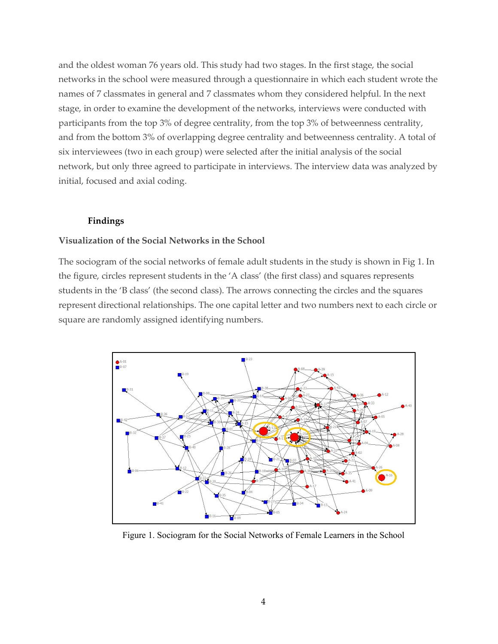and the oldest woman 76 years old. This study had two stages. In the first stage, the social networks in the school were measured through a questionnaire in which each student wrote the names of 7 classmates in general and 7 classmates whom they considered helpful. In the next stage, in order to examine the development of the networks, interviews were conducted with participants from the top 3% of degree centrality, from the top 3% of betweenness centrality, and from the bottom 3% of overlapping degree centrality and betweenness centrality. A total of six interviewees (two in each group) were selected after the initial analysis of the social network, but only three agreed to participate in interviews. The interview data was analyzed by initial, focused and axial coding.

# **Findings**

## **Visualization of the Social Networks in the School**

The sociogram of the social networks of female adult students in the study is shown in Fig 1. In the figure, circles represent students in the 'A class' (the first class) and squares represents students in the 'B class' (the second class). The arrows connecting the circles and the squares represent directional relationships. The one capital letter and two numbers next to each circle or square are randomly assigned identifying numbers.



Figure 1. Sociogram for the Social Networks of Female Learners in the School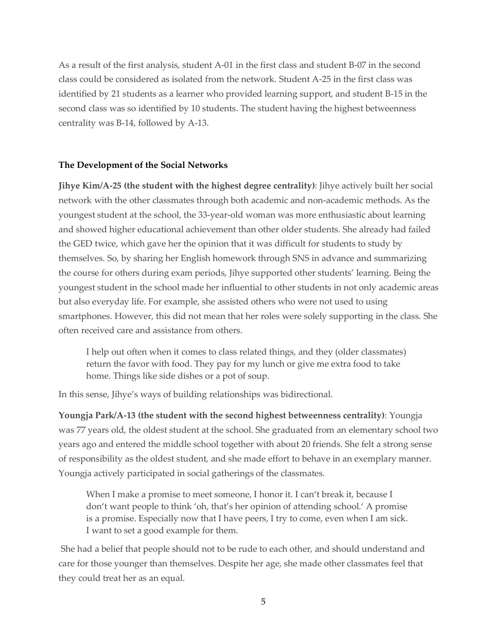As a result of the first analysis, student A-01 in the first class and student B-07 in the second class could be considered as isolated from the network. Student A-25 in the first class was identified by 21 students as a learner who provided learning support, and student B-15 in the second class was so identified by 10 students. The student having the highest betweenness centrality was B-14, followed by A-13.

# **The Development of the Social Networks**

**Jihye Kim/A-25 (the student with the highest degree centrality)**: Jihye actively built her social network with the other classmates through both academic and non-academic methods. As the youngest student at the school, the 33-year-old woman was more enthusiastic about learning and showed higher educational achievement than other older students. She already had failed the GED twice, which gave her the opinion that it was difficult for students to study by themselves. So, by sharing her English homework through SNS in advance and summarizing the course for others during exam periods, Jihye supported other students' learning. Being the youngest student in the school made her influential to other students in not only academic areas but also everyday life. For example, she assisted others who were not used to using smartphones. However, this did not mean that her roles were solely supporting in the class. She often received care and assistance from others.

I help out often when it comes to class related things, and they (older classmates) return the favor with food. They pay for my lunch or give me extra food to take home. Things like side dishes or a pot of soup.

In this sense, Jihye's ways of building relationships was bidirectional.

**Youngja Park/A-13 (the student with the second highest betweenness centrality)**: Youngja was 77 years old, the oldest student at the school. She graduated from an elementary school two years ago and entered the middle school together with about 20 friends. She felt a strong sense of responsibility as the oldest student, and she made effort to behave in an exemplary manner. Youngja actively participated in social gatherings of the classmates.

When I make a promise to meet someone, I honor it. I can't break it, because I don't want people to think 'oh, that's her opinion of attending school.' A promise is a promise. Especially now that I have peers, I try to come, even when I am sick. I want to set a good example for them.

She had a belief that people should not to be rude to each other, and should understand and care for those younger than themselves. Despite her age, she made other classmates feel that they could treat her as an equal.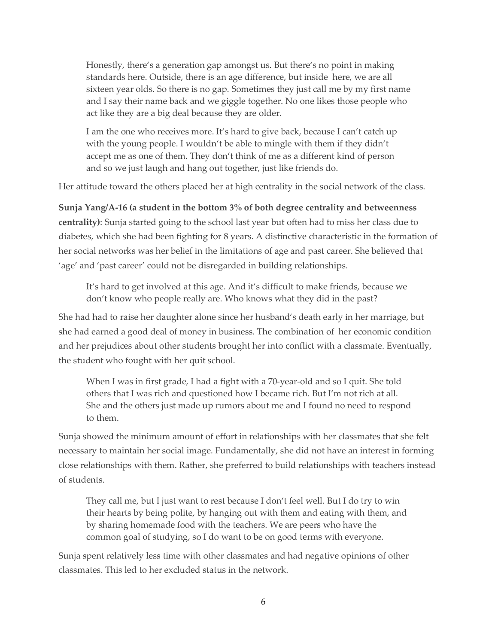Honestly, there's a generation gap amongst us. But there's no point in making standards here. Outside, there is an age difference, but inside here, we are all sixteen year olds. So there is no gap. Sometimes they just call me by my first name and I say their name back and we giggle together. No one likes those people who act like they are a big deal because they are older.

I am the one who receives more. It's hard to give back, because I can't catch up with the young people. I wouldn't be able to mingle with them if they didn't accept me as one of them. They don't think of me as a different kind of person and so we just laugh and hang out together, just like friends do.

Her attitude toward the others placed her at high centrality in the social network of the class.

**Sunja Yang/A-16 (a student in the bottom 3% of both degree centrality and betweenness centrality)**: Sunja started going to the school last year but often had to miss her class due to diabetes, which she had been fighting for 8 years. A distinctive characteristic in the formation of her social networks was her belief in the limitations of age and past career. She believed that 'age' and 'past career' could not be disregarded in building relationships.

It's hard to get involved at this age. And it's difficult to make friends, because we don't know who people really are. Who knows what they did in the past?

She had had to raise her daughter alone since her husband's death early in her marriage, but she had earned a good deal of money in business. The combination of her economic condition and her prejudices about other students brought her into conflict with a classmate. Eventually, the student who fought with her quit school.

When I was in first grade, I had a fight with a 70-year-old and so I quit. She told others that I was rich and questioned how I became rich. But I'm not rich at all. She and the others just made up rumors about me and I found no need to respond to them.

Sunja showed the minimum amount of effort in relationships with her classmates that she felt necessary to maintain her social image. Fundamentally, she did not have an interest in forming close relationships with them. Rather, she preferred to build relationships with teachers instead of students.

They call me, but I just want to rest because I don't feel well. But I do try to win their hearts by being polite, by hanging out with them and eating with them, and by sharing homemade food with the teachers. We are peers who have the common goal of studying, so I do want to be on good terms with everyone.

Sunja spent relatively less time with other classmates and had negative opinions of other classmates. This led to her excluded status in the network.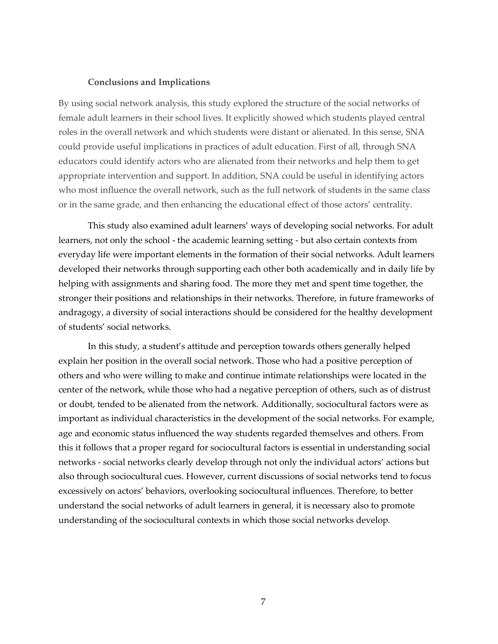## **Conclusions and Implications**

By using social network analysis, this study explored the structure of the social networks of female adult learners in their school lives. It explicitly showed which students played central roles in the overall network and which students were distant or alienated. In this sense, SNA could provide useful implications in practices of adult education. First of all, through SNA educators could identify actors who are alienated from their networks and help them to get appropriate intervention and support. In addition, SNA could be useful in identifying actors who most influence the overall network, such as the full network of students in the same class or in the same grade, and then enhancing the educational effect of those actors' centrality.

This study also examined adult learners' ways of developing social networks. For adult learners, not only the school - the academic learning setting - but also certain contexts from everyday life were important elements in the formation of their social networks. Adult learners developed their networks through supporting each other both academically and in daily life by helping with assignments and sharing food. The more they met and spent time together, the stronger their positions and relationships in their networks. Therefore, in future frameworks of andragogy, a diversity of social interactions should be considered for the healthy development of students' social networks.

In this study, a student's attitude and perception towards others generally helped explain her position in the overall social network. Those who had a positive perception of others and who were willing to make and continue intimate relationships were located in the center of the network, while those who had a negative perception of others, such as of distrust or doubt, tended to be alienated from the network. Additionally, sociocultural factors were as important as individual characteristics in the development of the social networks. For example, age and economic status influenced the way students regarded themselves and others. From this it follows that a proper regard for sociocultural factors is essential in understanding social networks - social networks clearly develop through not only the individual actors' actions but also through sociocultural cues. However, current discussions of social networks tend to focus excessively on actors' behaviors, overlooking sociocultural influences. Therefore, to better understand the social networks of adult learners in general, it is necessary also to promote understanding of the sociocultural contexts in which those social networks develop.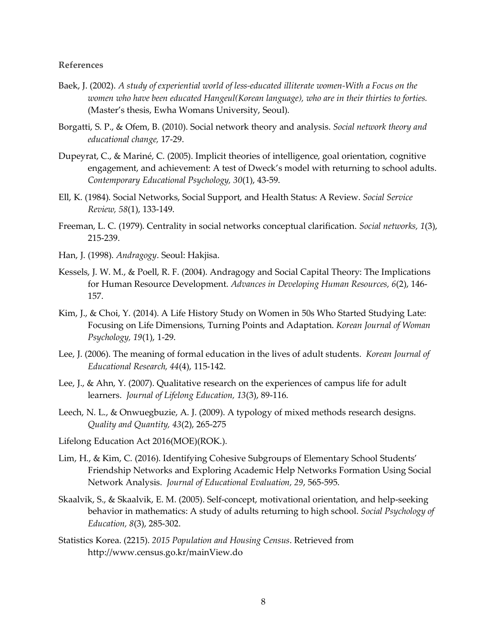## **References**

- Baek, J. (2002). *A study of experiential world of less-educated illiterate women-With a Focus on the women who have been educated Hangeul(Korean language), who are in their thirties to forties.* (Master's thesis, Ewha Womans University, Seoul).
- Borgatti, S. P., & Ofem, B. (2010). Social network theory and analysis. *Social network theory and educational change,* 17-29.
- Dupeyrat, C., & Mariné, C. (2005). Implicit theories of intelligence, goal orientation, cognitive engagement, and achievement: A test of Dweck's model with returning to school adults. *Contemporary Educational Psychology, 30*(1), 43-59.
- Ell, K. (1984). Social Networks, Social Support, and Health Status: A Review. *Social Service Review, 58*(1), 133-149.
- Freeman, L. C. (1979). Centrality in social networks conceptual clarification. *Social networks, 1*(3), 215-239.
- Han, J. (1998). *Andragogy*. Seoul: Hakjisa.
- Kessels, J. W. M., & Poell, R. F. (2004). Andragogy and Social Capital Theory: The Implications for Human Resource Development. *Advances in Developing Human Resources, 6*(2), 146- 157.
- Kim, J., & Choi, Y. (2014). A Life History Study on Women in 50s Who Started Studying Late: Focusing on Life Dimensions, Turning Points and Adaptation. *Korean Journal of Woman Psychology, 19*(1), 1-29.
- Lee, J. (2006). The meaning of formal education in the lives of adult students. *Korean Journal of Educational Research, 44*(4), 115-142.
- Lee, J., & Ahn, Y. (2007). Qualitative research on the experiences of campus life for adult learners. *Journal of Lifelong Education, 13*(3), 89-116.
- Leech, N. L., & Onwuegbuzie, A. J. (2009). A typology of mixed methods research designs. *Quality and Quantity, 43*(2), 265-275
- Lifelong Education Act 2016(MOE)(ROK.).
- Lim, H., & Kim, C. (2016). Identifying Cohesive Subgroups of Elementary School Students' Friendship Networks and Exploring Academic Help Networks Formation Using Social Network Analysis. *Journal of Educational Evaluation, 29*, 565-595.
- Skaalvik, S., & Skaalvik, E. M. (2005). Self-concept, motivational orientation, and help-seeking behavior in mathematics: A study of adults returning to high school. *Social Psychology of Education, 8*(3), 285-302.
- Statistics Korea. (2215). *2015 Population and Housing Census*. Retrieved from http://www.census.go.kr/mainView.do